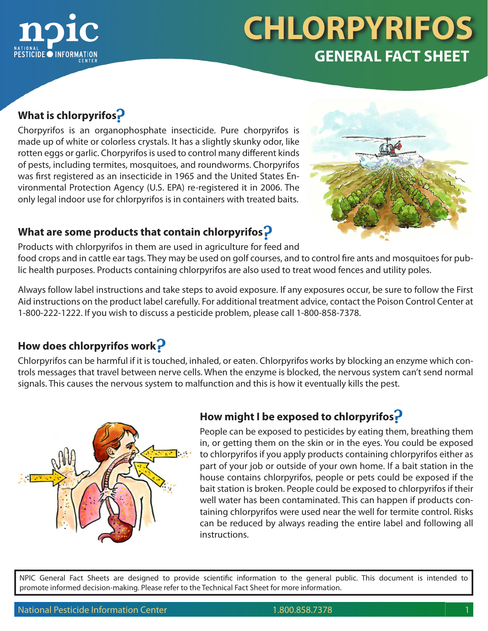

### **What is chlorpyrifos**

Chorpyrifos is an organophosphate insecticide. Pure chorpyrifos is made up of white or colorless crystals. It has a slightly skunky odor, like rotten eggs or garlic. Chorpyrifos is used to control many different kinds of pests, including termites, mosquitoes, and roundworms. Chorpyrifos was first registered as an insecticide in 1965 and the United States Environmental Protection Agency (U.S. EPA) re-registered it in 2006. The only legal indoor use for chlorpyrifos is in containers with treated baits.



#### **What are some products that contain chlorpyrifos**

Products with chlorpyrifos in them are used in agriculture for feed and

food crops and in cattle ear tags. They may be used on golf courses, and to control fire ants and mosquitoes for public health purposes. Products containing chlorpyrifos are also used to treat wood fences and utility poles.

Always follow label instructions and take steps to avoid exposure. If any exposures occur, be sure to follow the First Aid instructions on the product label carefully. For additional treatment advice, contact the Poison Control Center at 1-800-222-1222. If you wish to discuss a pesticide problem, please call 1-800-858-7378.

## **How does chlorpyrifos work**

Chlorpyrifos can be harmful if it is touched, inhaled, or eaten. Chlorpyrifos works by blocking an enzyme which controls messages that travel between nerve cells. When the enzyme is blocked, the nervous system can't send normal signals. This causes the nervous system to malfunction and this is how it eventually kills the pest.



## **How might I be exposed to chlorpyrifos**

People can be exposed to pesticides by eating them, breathing them in, or getting them on the skin or in the eyes. You could be exposed to chlorpyrifos if you apply products containing chlorpyrifos either as part of your job or outside of your own home. If a bait station in the house contains chlorpyrifos, people or pets could be exposed if the bait station is broken. People could be exposed to chlorpyrifos if their well water has been contaminated. This can happen if products containing chlorpyrifos were used near the well for termite control. Risks can be reduced by always reading the entire label and following all instructions.

NPIC General Fact Sheets are designed to provide scientific information to the general public. This document is intended to promote informed decision-making. Please refer to the Technical Fact Sheet for more information.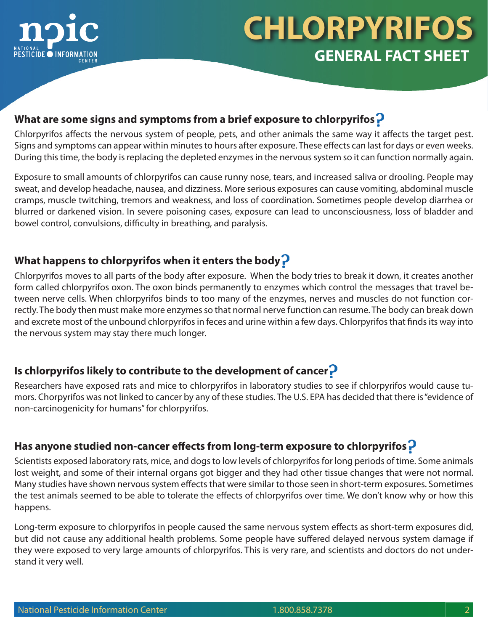

#### **What are some signs and symptoms from a brief exposure to chlorpyrifos**

Chlorpyrifos affects the nervous system of people, pets, and other animals the same way it affects the target pest. Signs and symptoms can appear within minutes to hours after exposure. These effects can last for days or even weeks. During this time, the body is replacing the depleted enzymes in the nervous system so it can function normally again.

Exposure to small amounts of chlorpyrifos can cause runny nose, tears, and increased saliva or drooling. People may sweat, and develop headache, nausea, and dizziness. More serious exposures can cause vomiting, abdominal muscle cramps, muscle twitching, tremors and weakness, and loss of coordination. Sometimes people develop diarrhea or blurred or darkened vision. In severe poisoning cases, exposure can lead to unconsciousness, loss of bladder and bowel control, convulsions, difficulty in breathing, and paralysis.

## **What happens to chlorpyrifos when it enters the body**

Chlorpyrifos moves to all parts of the body after exposure. When the body tries to break it down, it creates another form called chlorpyrifos oxon. The oxon binds permanently to enzymes which control the messages that travel between nerve cells. When chlorpyrifos binds to too many of the enzymes, nerves and muscles do not function correctly. The body then must make more enzymes so that normal nerve function can resume. The body can break down and excrete most of the unbound chlorpyrifos in feces and urine within a few days. Chlorpyrifos that finds its way into the nervous system may stay there much longer.

### **Is chlorpyrifos likely to contribute to the development of cancer**

Researchers have exposed rats and mice to chlorpyrifos in laboratory studies to see if chlorpyrifos would cause tumors. Chorpyrifos was not linked to cancer by any of these studies. The U.S. EPA has decided that there is "evidence of non-carcinogenicity for humans" for chlorpyrifos.

### **Has anyone studied non-cancer effects from long-term exposure to chlorpyrifos**

Scientists exposed laboratory rats, mice, and dogs to low levels of chlorpyrifos for long periods of time. Some animals lost weight, and some of their internal organs got bigger and they had other tissue changes that were not normal. Many studies have shown nervous system effects that were similar to those seen in short-term exposures. Sometimes the test animals seemed to be able to tolerate the effects of chlorpyrifos over time. We don't know why or how this happens.

Long-term exposure to chlorpyrifos in people caused the same nervous system effects as short-term exposures did, but did not cause any additional health problems. Some people have suffered delayed nervous system damage if they were exposed to very large amounts of chlorpyrifos. This is very rare, and scientists and doctors do not understand it very well.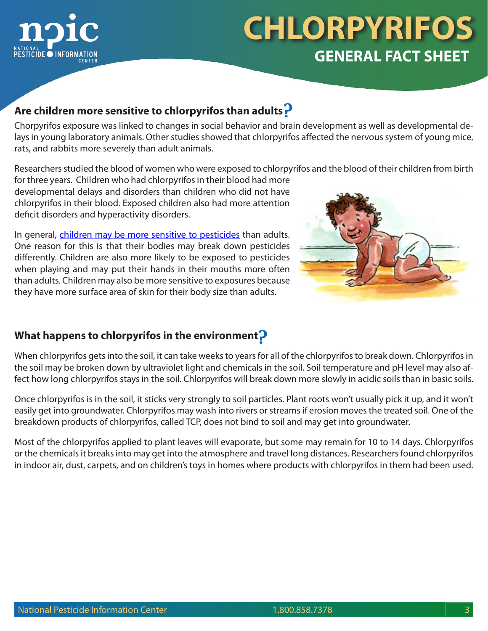

### **Are children more sensitive to chlorpyrifos than adults**

Chorpyrifos exposure was linked to changes in social behavior and brain development as well as developmental delays in young laboratory animals. Other studies showed that chlorpyrifos affected the nervous system of young mice, rats, and rabbits more severely than adult animals.

Researchers studied the blood of women who were exposed to chlorpyrifos and the blood of their children from birth

for three years. Children who had chlorpyrifos in their blood had more developmental delays and disorders than children who did not have chlorpyrifos in their blood. Exposed children also had more attention deficit disorders and hyperactivity disorders.

In general, [children may be more sensitive to pesticides](http://npic.orst.edu/health/child.html) than adults. One reason for this is that their bodies may break down pesticides differently. Children are also more likely to be exposed to pesticides when playing and may put their hands in their mouths more often than adults. Children may also be more sensitive to exposures because they have more surface area of skin for their body size than adults.



#### **What happens to chlorpyrifos in the environment**

When chlorpyrifos gets into the soil, it can take weeks to years for all of the chlorpyrifos to break down. Chlorpyrifos in the soil may be broken down by ultraviolet light and chemicals in the soil. Soil temperature and pH level may also affect how long chlorpyrifos stays in the soil. Chlorpyrifos will break down more slowly in acidic soils than in basic soils.

Once chlorpyrifos is in the soil, it sticks very strongly to soil particles. Plant roots won't usually pick it up, and it won't easily get into groundwater. Chlorpyrifos may wash into rivers or streams if erosion moves the treated soil. One of the breakdown products of chlorpyrifos, called TCP, does not bind to soil and may get into groundwater.

Most of the chlorpyrifos applied to plant leaves will evaporate, but some may remain for 10 to 14 days. Chlorpyrifos or the chemicals it breaks into may get into the atmosphere and travel long distances. Researchers found chlorpyrifos in indoor air, dust, carpets, and on children's toys in homes where products with chlorpyrifos in them had been used.